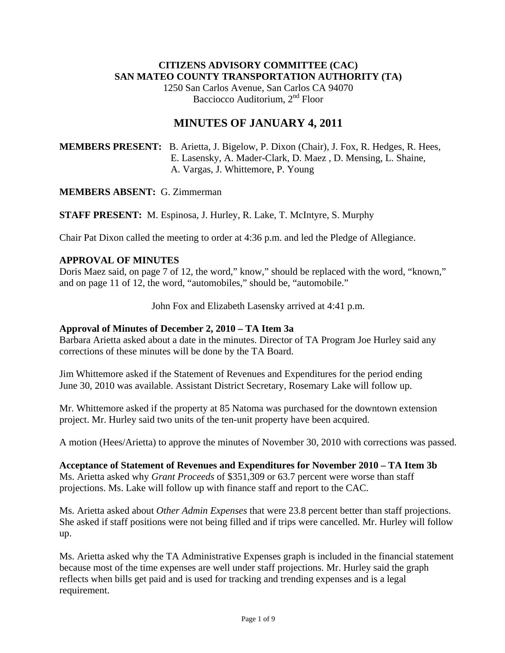### **CITIZENS ADVISORY COMMITTEE (CAC) SAN MATEO COUNTY TRANSPORTATION AUTHORITY (TA)**

1250 San Carlos Avenue, San Carlos CA 94070 Bacciocco Auditorium, 2<sup>nd</sup> Floor

# **MINUTES OF JANUARY 4, 2011**

**MEMBERS PRESENT:** B. Arietta, J. Bigelow, P. Dixon (Chair), J. Fox, R. Hedges, R. Hees, E. Lasensky, A. Mader-Clark, D. Maez , D. Mensing, L. Shaine, A. Vargas, J. Whittemore, P. Young

#### **MEMBERS ABSENT:** G. Zimmerman

**STAFF PRESENT:** M. Espinosa, J. Hurley, R. Lake, T. McIntyre, S. Murphy

Chair Pat Dixon called the meeting to order at 4:36 p.m. and led the Pledge of Allegiance.

### **APPROVAL OF MINUTES**

Doris Maez said, on page 7 of 12, the word," know," should be replaced with the word, "known," and on page 11 of 12, the word, "automobiles," should be, "automobile."

John Fox and Elizabeth Lasensky arrived at 4:41 p.m.

#### **Approval of Minutes of December 2, 2010 – TA Item 3a**

Barbara Arietta asked about a date in the minutes. Director of TA Program Joe Hurley said any corrections of these minutes will be done by the TA Board.

Jim Whittemore asked if the Statement of Revenues and Expenditures for the period ending June 30, 2010 was available. Assistant District Secretary, Rosemary Lake will follow up.

Mr. Whittemore asked if the property at 85 Natoma was purchased for the downtown extension project. Mr. Hurley said two units of the ten-unit property have been acquired.

A motion (Hees/Arietta) to approve the minutes of November 30, 2010 with corrections was passed.

**Acceptance of Statement of Revenues and Expenditures for November 2010 – TA Item 3b**  Ms. Arietta asked why *Grant Proceeds* of \$351,309 or 63.7 percent were worse than staff projections. Ms. Lake will follow up with finance staff and report to the CAC.

Ms. Arietta asked about *Other Admin Expenses* that were 23.8 percent better than staff projections. She asked if staff positions were not being filled and if trips were cancelled. Mr. Hurley will follow up.

Ms. Arietta asked why the TA Administrative Expenses graph is included in the financial statement because most of the time expenses are well under staff projections. Mr. Hurley said the graph reflects when bills get paid and is used for tracking and trending expenses and is a legal requirement.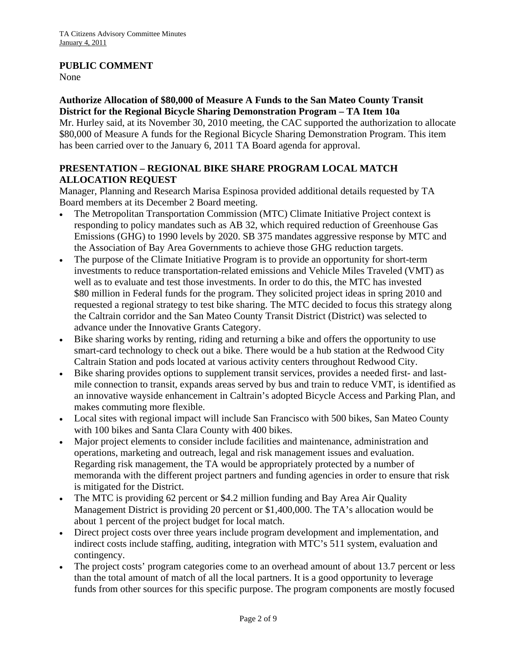### **PUBLIC COMMENT**

None

### **Authorize Allocation of \$80,000 of Measure A Funds to the San Mateo County Transit District for the Regional Bicycle Sharing Demonstration Program – TA Item 10a**

Mr. Hurley said, at its November 30, 2010 meeting, the CAC supported the authorization to allocate \$80,000 of Measure A funds for the Regional Bicycle Sharing Demonstration Program. This item has been carried over to the January 6, 2011 TA Board agenda for approval.

### **PRESENTATION – REGIONAL BIKE SHARE PROGRAM LOCAL MATCH ALLOCATION REQUEST**

Manager, Planning and Research Marisa Espinosa provided additional details requested by TA Board members at its December 2 Board meeting.

- The Metropolitan Transportation Commission (MTC) Climate Initiative Project context is responding to policy mandates such as AB 32, which required reduction of Greenhouse Gas Emissions (GHG) to 1990 levels by 2020. SB 375 mandates aggressive response by MTC and the Association of Bay Area Governments to achieve those GHG reduction targets.
- The purpose of the Climate Initiative Program is to provide an opportunity for short-term investments to reduce transportation-related emissions and Vehicle Miles Traveled (VMT) as well as to evaluate and test those investments. In order to do this, the MTC has invested \$80 million in Federal funds for the program. They solicited project ideas in spring 2010 and requested a regional strategy to test bike sharing. The MTC decided to focus this strategy along the Caltrain corridor and the San Mateo County Transit District (District) was selected to advance under the Innovative Grants Category.
- Bike sharing works by renting, riding and returning a bike and offers the opportunity to use smart-card technology to check out a bike. There would be a hub station at the Redwood City Caltrain Station and pods located at various activity centers throughout Redwood City.
- Bike sharing provides options to supplement transit services, provides a needed first- and lastmile connection to transit, expands areas served by bus and train to reduce VMT, is identified as an innovative wayside enhancement in Caltrain's adopted Bicycle Access and Parking Plan, and makes commuting more flexible.
- Local sites with regional impact will include San Francisco with 500 bikes, San Mateo County with 100 bikes and Santa Clara County with 400 bikes.
- Major project elements to consider include facilities and maintenance, administration and operations, marketing and outreach, legal and risk management issues and evaluation. Regarding risk management, the TA would be appropriately protected by a number of memoranda with the different project partners and funding agencies in order to ensure that risk is mitigated for the District.
- The MTC is providing 62 percent or \$4.2 million funding and Bay Area Air Quality Management District is providing 20 percent or \$1,400,000. The TA's allocation would be about 1 percent of the project budget for local match.
- Direct project costs over three years include program development and implementation, and indirect costs include staffing, auditing, integration with MTC's 511 system, evaluation and contingency.
- The project costs' program categories come to an overhead amount of about 13.7 percent or less than the total amount of match of all the local partners. It is a good opportunity to leverage funds from other sources for this specific purpose. The program components are mostly focused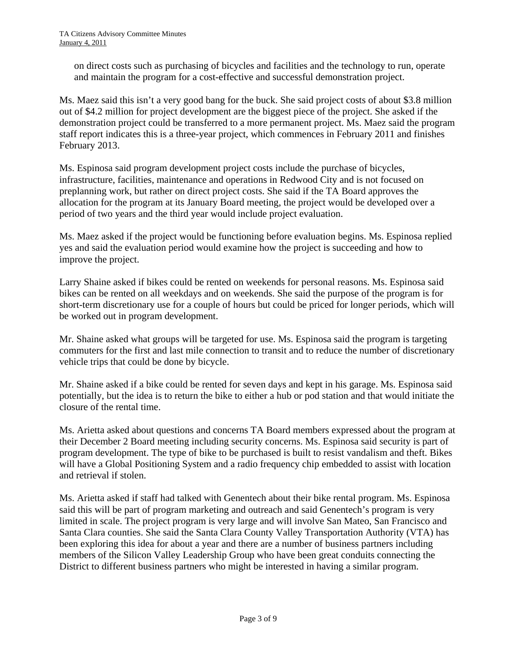on direct costs such as purchasing of bicycles and facilities and the technology to run, operate and maintain the program for a cost-effective and successful demonstration project.

Ms. Maez said this isn't a very good bang for the buck. She said project costs of about \$3.8 million out of \$4.2 million for project development are the biggest piece of the project. She asked if the demonstration project could be transferred to a more permanent project. Ms. Maez said the program staff report indicates this is a three-year project, which commences in February 2011 and finishes February 2013.

Ms. Espinosa said program development project costs include the purchase of bicycles, infrastructure, facilities, maintenance and operations in Redwood City and is not focused on preplanning work, but rather on direct project costs. She said if the TA Board approves the allocation for the program at its January Board meeting, the project would be developed over a period of two years and the third year would include project evaluation.

Ms. Maez asked if the project would be functioning before evaluation begins. Ms. Espinosa replied yes and said the evaluation period would examine how the project is succeeding and how to improve the project.

Larry Shaine asked if bikes could be rented on weekends for personal reasons. Ms. Espinosa said bikes can be rented on all weekdays and on weekends. She said the purpose of the program is for short-term discretionary use for a couple of hours but could be priced for longer periods, which will be worked out in program development.

Mr. Shaine asked what groups will be targeted for use. Ms. Espinosa said the program is targeting commuters for the first and last mile connection to transit and to reduce the number of discretionary vehicle trips that could be done by bicycle.

Mr. Shaine asked if a bike could be rented for seven days and kept in his garage. Ms. Espinosa said potentially, but the idea is to return the bike to either a hub or pod station and that would initiate the closure of the rental time.

Ms. Arietta asked about questions and concerns TA Board members expressed about the program at their December 2 Board meeting including security concerns. Ms. Espinosa said security is part of program development. The type of bike to be purchased is built to resist vandalism and theft. Bikes will have a Global Positioning System and a radio frequency chip embedded to assist with location and retrieval if stolen.

Ms. Arietta asked if staff had talked with Genentech about their bike rental program. Ms. Espinosa said this will be part of program marketing and outreach and said Genentech's program is very limited in scale. The project program is very large and will involve San Mateo, San Francisco and Santa Clara counties. She said the Santa Clara County Valley Transportation Authority (VTA) has been exploring this idea for about a year and there are a number of business partners including members of the Silicon Valley Leadership Group who have been great conduits connecting the District to different business partners who might be interested in having a similar program.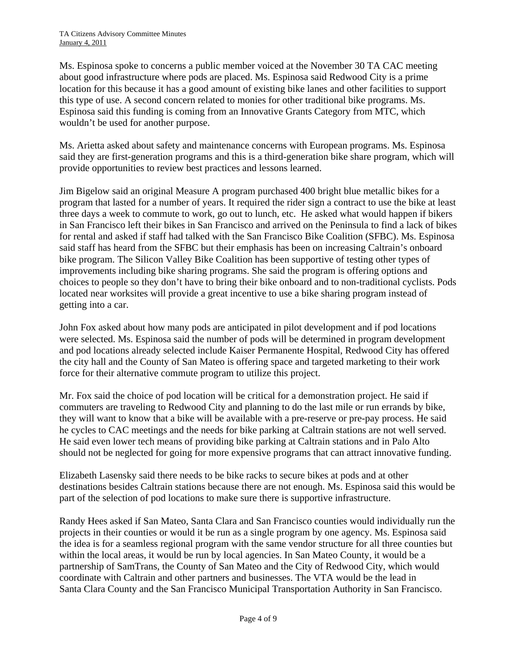Ms. Espinosa spoke to concerns a public member voiced at the November 30 TA CAC meeting about good infrastructure where pods are placed. Ms. Espinosa said Redwood City is a prime location for this because it has a good amount of existing bike lanes and other facilities to support this type of use. A second concern related to monies for other traditional bike programs. Ms. Espinosa said this funding is coming from an Innovative Grants Category from MTC, which wouldn't be used for another purpose.

Ms. Arietta asked about safety and maintenance concerns with European programs. Ms. Espinosa said they are first-generation programs and this is a third-generation bike share program, which will provide opportunities to review best practices and lessons learned.

Jim Bigelow said an original Measure A program purchased 400 bright blue metallic bikes for a program that lasted for a number of years. It required the rider sign a contract to use the bike at least three days a week to commute to work, go out to lunch, etc. He asked what would happen if bikers in San Francisco left their bikes in San Francisco and arrived on the Peninsula to find a lack of bikes for rental and asked if staff had talked with the San Francisco Bike Coalition (SFBC). Ms. Espinosa said staff has heard from the SFBC but their emphasis has been on increasing Caltrain's onboard bike program. The Silicon Valley Bike Coalition has been supportive of testing other types of improvements including bike sharing programs. She said the program is offering options and choices to people so they don't have to bring their bike onboard and to non-traditional cyclists. Pods located near worksites will provide a great incentive to use a bike sharing program instead of getting into a car.

John Fox asked about how many pods are anticipated in pilot development and if pod locations were selected. Ms. Espinosa said the number of pods will be determined in program development and pod locations already selected include Kaiser Permanente Hospital, Redwood City has offered the city hall and the County of San Mateo is offering space and targeted marketing to their work force for their alternative commute program to utilize this project.

Mr. Fox said the choice of pod location will be critical for a demonstration project. He said if commuters are traveling to Redwood City and planning to do the last mile or run errands by bike, they will want to know that a bike will be available with a pre-reserve or pre-pay process. He said he cycles to CAC meetings and the needs for bike parking at Caltrain stations are not well served. He said even lower tech means of providing bike parking at Caltrain stations and in Palo Alto should not be neglected for going for more expensive programs that can attract innovative funding.

Elizabeth Lasensky said there needs to be bike racks to secure bikes at pods and at other destinations besides Caltrain stations because there are not enough. Ms. Espinosa said this would be part of the selection of pod locations to make sure there is supportive infrastructure.

Randy Hees asked if San Mateo, Santa Clara and San Francisco counties would individually run the projects in their counties or would it be run as a single program by one agency. Ms. Espinosa said the idea is for a seamless regional program with the same vendor structure for all three counties but within the local areas, it would be run by local agencies. In San Mateo County, it would be a partnership of SamTrans, the County of San Mateo and the City of Redwood City, which would coordinate with Caltrain and other partners and businesses. The VTA would be the lead in Santa Clara County and the San Francisco Municipal Transportation Authority in San Francisco.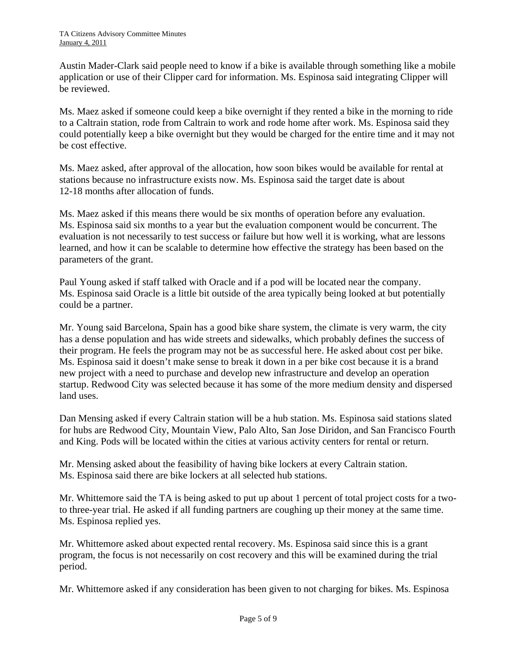Austin Mader-Clark said people need to know if a bike is available through something like a mobile application or use of their Clipper card for information. Ms. Espinosa said integrating Clipper will be reviewed.

Ms. Maez asked if someone could keep a bike overnight if they rented a bike in the morning to ride to a Caltrain station, rode from Caltrain to work and rode home after work. Ms. Espinosa said they could potentially keep a bike overnight but they would be charged for the entire time and it may not be cost effective.

Ms. Maez asked, after approval of the allocation, how soon bikes would be available for rental at stations because no infrastructure exists now. Ms. Espinosa said the target date is about 12-18 months after allocation of funds.

Ms. Maez asked if this means there would be six months of operation before any evaluation. Ms. Espinosa said six months to a year but the evaluation component would be concurrent. The evaluation is not necessarily to test success or failure but how well it is working, what are lessons learned, and how it can be scalable to determine how effective the strategy has been based on the parameters of the grant.

Paul Young asked if staff talked with Oracle and if a pod will be located near the company. Ms. Espinosa said Oracle is a little bit outside of the area typically being looked at but potentially could be a partner.

Mr. Young said Barcelona, Spain has a good bike share system, the climate is very warm, the city has a dense population and has wide streets and sidewalks, which probably defines the success of their program. He feels the program may not be as successful here. He asked about cost per bike. Ms. Espinosa said it doesn't make sense to break it down in a per bike cost because it is a brand new project with a need to purchase and develop new infrastructure and develop an operation startup. Redwood City was selected because it has some of the more medium density and dispersed land uses.

Dan Mensing asked if every Caltrain station will be a hub station. Ms. Espinosa said stations slated for hubs are Redwood City, Mountain View, Palo Alto, San Jose Diridon, and San Francisco Fourth and King. Pods will be located within the cities at various activity centers for rental or return.

Mr. Mensing asked about the feasibility of having bike lockers at every Caltrain station. Ms. Espinosa said there are bike lockers at all selected hub stations.

Mr. Whittemore said the TA is being asked to put up about 1 percent of total project costs for a twoto three-year trial. He asked if all funding partners are coughing up their money at the same time. Ms. Espinosa replied yes.

Mr. Whittemore asked about expected rental recovery. Ms. Espinosa said since this is a grant program, the focus is not necessarily on cost recovery and this will be examined during the trial period.

Mr. Whittemore asked if any consideration has been given to not charging for bikes. Ms. Espinosa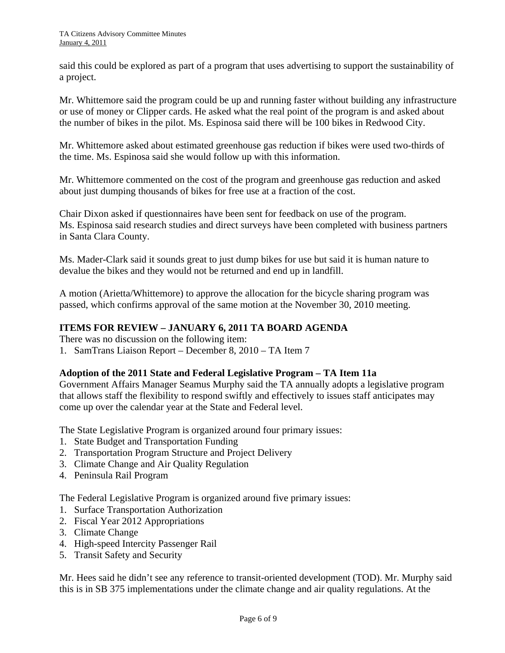said this could be explored as part of a program that uses advertising to support the sustainability of a project.

Mr. Whittemore said the program could be up and running faster without building any infrastructure or use of money or Clipper cards. He asked what the real point of the program is and asked about the number of bikes in the pilot. Ms. Espinosa said there will be 100 bikes in Redwood City.

Mr. Whittemore asked about estimated greenhouse gas reduction if bikes were used two-thirds of the time. Ms. Espinosa said she would follow up with this information.

Mr. Whittemore commented on the cost of the program and greenhouse gas reduction and asked about just dumping thousands of bikes for free use at a fraction of the cost.

Chair Dixon asked if questionnaires have been sent for feedback on use of the program. Ms. Espinosa said research studies and direct surveys have been completed with business partners in Santa Clara County.

Ms. Mader-Clark said it sounds great to just dump bikes for use but said it is human nature to devalue the bikes and they would not be returned and end up in landfill.

A motion (Arietta/Whittemore) to approve the allocation for the bicycle sharing program was passed, which confirms approval of the same motion at the November 30, 2010 meeting.

### **ITEMS FOR REVIEW – JANUARY 6, 2011 TA BOARD AGENDA**

There was no discussion on the following item:

1. SamTrans Liaison Report – December 8, 2010 – TA Item 7

#### **Adoption of the 2011 State and Federal Legislative Program – TA Item 11a**

Government Affairs Manager Seamus Murphy said the TA annually adopts a legislative program that allows staff the flexibility to respond swiftly and effectively to issues staff anticipates may come up over the calendar year at the State and Federal level.

The State Legislative Program is organized around four primary issues:

- 1. State Budget and Transportation Funding
- 2. Transportation Program Structure and Project Delivery
- 3. Climate Change and Air Quality Regulation
- 4. Peninsula Rail Program

The Federal Legislative Program is organized around five primary issues:

- 1. Surface Transportation Authorization
- 2. Fiscal Year 2012 Appropriations
- 3. Climate Change
- 4. High-speed Intercity Passenger Rail
- 5. Transit Safety and Security

Mr. Hees said he didn't see any reference to transit-oriented development (TOD). Mr. Murphy said this is in SB 375 implementations under the climate change and air quality regulations. At the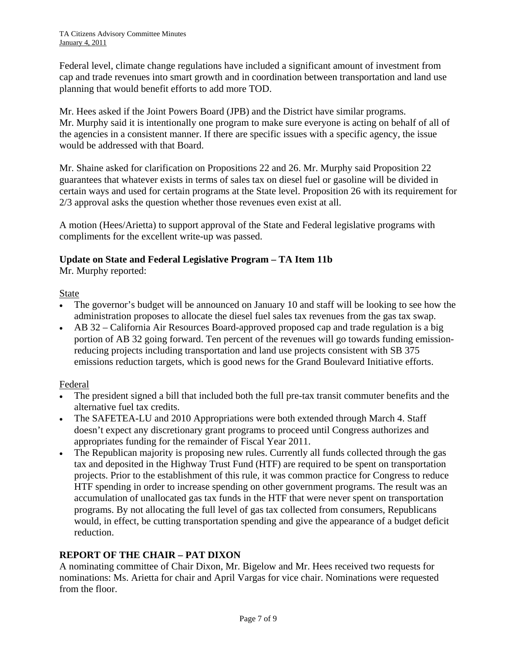Federal level, climate change regulations have included a significant amount of investment from cap and trade revenues into smart growth and in coordination between transportation and land use planning that would benefit efforts to add more TOD.

Mr. Hees asked if the Joint Powers Board (JPB) and the District have similar programs. Mr. Murphy said it is intentionally one program to make sure everyone is acting on behalf of all of the agencies in a consistent manner. If there are specific issues with a specific agency, the issue would be addressed with that Board.

Mr. Shaine asked for clarification on Propositions 22 and 26. Mr. Murphy said Proposition 22 guarantees that whatever exists in terms of sales tax on diesel fuel or gasoline will be divided in certain ways and used for certain programs at the State level. Proposition 26 with its requirement for 2/3 approval asks the question whether those revenues even exist at all.

A motion (Hees/Arietta) to support approval of the State and Federal legislative programs with compliments for the excellent write-up was passed.

## **Update on State and Federal Legislative Program – TA Item 11b**

Mr. Murphy reported:

### State

- The governor's budget will be announced on January 10 and staff will be looking to see how the administration proposes to allocate the diesel fuel sales tax revenues from the gas tax swap.
- AB 32 California Air Resources Board-approved proposed cap and trade regulation is a big portion of AB 32 going forward. Ten percent of the revenues will go towards funding emissionreducing projects including transportation and land use projects consistent with SB 375 emissions reduction targets, which is good news for the Grand Boulevard Initiative efforts.

### Federal

- The president signed a bill that included both the full pre-tax transit commuter benefits and the alternative fuel tax credits.
- The SAFETEA-LU and 2010 Appropriations were both extended through March 4. Staff doesn't expect any discretionary grant programs to proceed until Congress authorizes and appropriates funding for the remainder of Fiscal Year 2011.
- The Republican majority is proposing new rules. Currently all funds collected through the gas tax and deposited in the Highway Trust Fund (HTF) are required to be spent on transportation projects. Prior to the establishment of this rule, it was common practice for Congress to reduce HTF spending in order to increase spending on other government programs. The result was an accumulation of unallocated gas tax funds in the HTF that were never spent on transportation programs. By not allocating the full level of gas tax collected from consumers, Republicans would, in effect, be cutting transportation spending and give the appearance of a budget deficit reduction.

### **REPORT OF THE CHAIR – PAT DIXON**

A nominating committee of Chair Dixon, Mr. Bigelow and Mr. Hees received two requests for nominations: Ms. Arietta for chair and April Vargas for vice chair. Nominations were requested from the floor.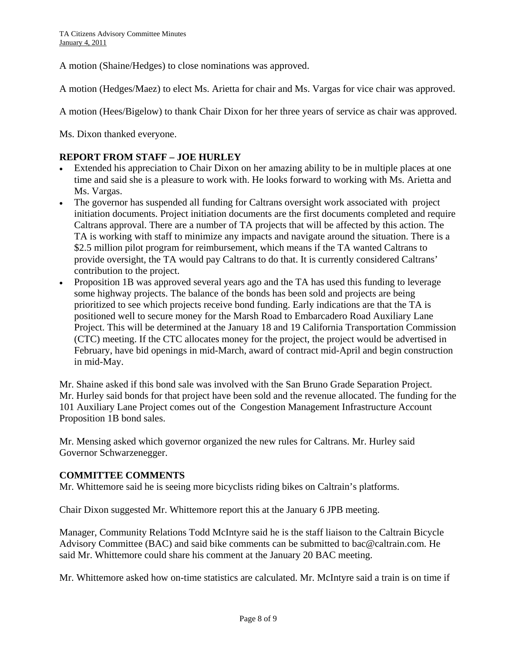A motion (Shaine/Hedges) to close nominations was approved.

A motion (Hedges/Maez) to elect Ms. Arietta for chair and Ms. Vargas for vice chair was approved.

A motion (Hees/Bigelow) to thank Chair Dixon for her three years of service as chair was approved.

Ms. Dixon thanked everyone.

### **REPORT FROM STAFF – JOE HURLEY**

- Extended his appreciation to Chair Dixon on her amazing ability to be in multiple places at one time and said she is a pleasure to work with. He looks forward to working with Ms. Arietta and Ms. Vargas.
- The governor has suspended all funding for Caltrans oversight work associated with project initiation documents. Project initiation documents are the first documents completed and require Caltrans approval. There are a number of TA projects that will be affected by this action. The TA is working with staff to minimize any impacts and navigate around the situation. There is a \$2.5 million pilot program for reimbursement, which means if the TA wanted Caltrans to provide oversight, the TA would pay Caltrans to do that. It is currently considered Caltrans' contribution to the project.
- Proposition 1B was approved several years ago and the TA has used this funding to leverage some highway projects. The balance of the bonds has been sold and projects are being prioritized to see which projects receive bond funding. Early indications are that the TA is positioned well to secure money for the Marsh Road to Embarcadero Road Auxiliary Lane Project. This will be determined at the January 18 and 19 California Transportation Commission (CTC) meeting. If the CTC allocates money for the project, the project would be advertised in February, have bid openings in mid-March, award of contract mid-April and begin construction in mid-May.

Mr. Shaine asked if this bond sale was involved with the San Bruno Grade Separation Project. Mr. Hurley said bonds for that project have been sold and the revenue allocated. The funding for the 101 Auxiliary Lane Project comes out of the Congestion Management Infrastructure Account Proposition 1B bond sales.

Mr. Mensing asked which governor organized the new rules for Caltrans. Mr. Hurley said Governor Schwarzenegger.

#### **COMMITTEE COMMENTS**

Mr. Whittemore said he is seeing more bicyclists riding bikes on Caltrain's platforms.

Chair Dixon suggested Mr. Whittemore report this at the January 6 JPB meeting.

Manager, Community Relations Todd McIntyre said he is the staff liaison to the Caltrain Bicycle Advisory Committee (BAC) and said bike comments can be submitted to [bac@caltrain.com](mailto:bac@caltrain.com). He said Mr. Whittemore could share his comment at the January 20 BAC meeting.

Mr. Whittemore asked how on-time statistics are calculated. Mr. McIntyre said a train is on time if